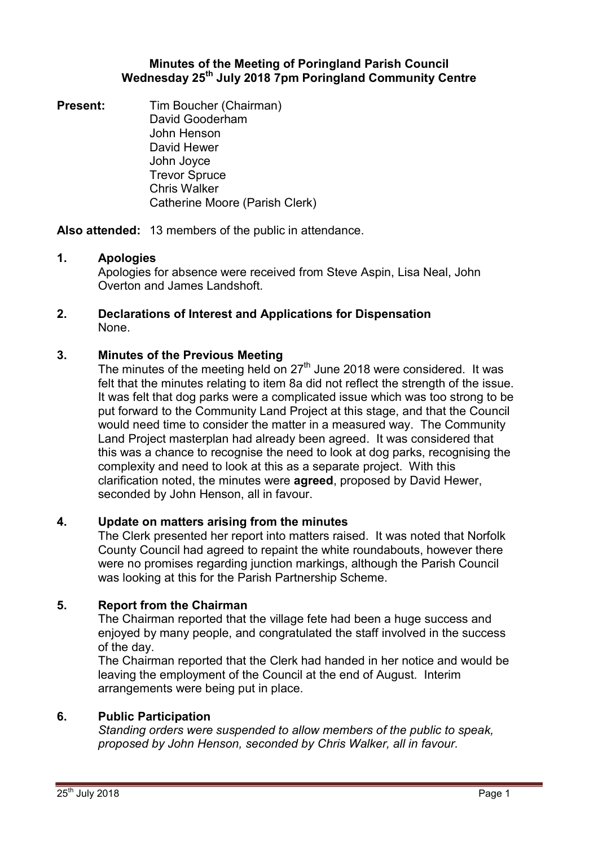# **Minutes of the Meeting of Poringland Parish Council Wednesday 25th July 2018 7pm Poringland Community Centre**

**Present:** Tim Boucher (Chairman) David Gooderham John Henson David Hewer John Joyce Trevor Spruce Chris Walker Catherine Moore (Parish Clerk)

**Also attended:** 13 members of the public in attendance.

# **1. Apologies**

Apologies for absence were received from Steve Aspin, Lisa Neal, John Overton and James Landshoft.

## **2. Declarations of Interest and Applications for Dispensation** None.

# **3. Minutes of the Previous Meeting**

The minutes of the meeting held on  $27<sup>th</sup>$  June 2018 were considered. It was felt that the minutes relating to item 8a did not reflect the strength of the issue. It was felt that dog parks were a complicated issue which was too strong to be put forward to the Community Land Project at this stage, and that the Council would need time to consider the matter in a measured way. The Community Land Project masterplan had already been agreed. It was considered that this was a chance to recognise the need to look at dog parks, recognising the complexity and need to look at this as a separate project. With this clarification noted, the minutes were **agreed**, proposed by David Hewer, seconded by John Henson, all in favour.

## **4. Update on matters arising from the minutes**

The Clerk presented her report into matters raised. It was noted that Norfolk County Council had agreed to repaint the white roundabouts, however there were no promises regarding junction markings, although the Parish Council was looking at this for the Parish Partnership Scheme.

# **5. Report from the Chairman**

The Chairman reported that the village fete had been a huge success and enjoyed by many people, and congratulated the staff involved in the success of the day.

The Chairman reported that the Clerk had handed in her notice and would be leaving the employment of the Council at the end of August. Interim arrangements were being put in place.

## **6. Public Participation**

*Standing orders were suspended to allow members of the public to speak, proposed by John Henson, seconded by Chris Walker, all in favour.*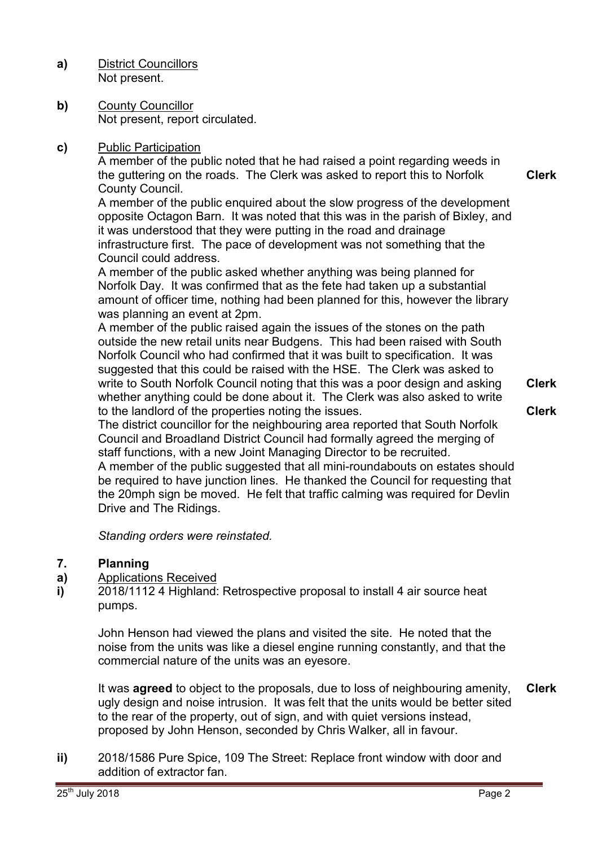**a)** District Councillors Not present.

**b)** County Councillor Not present, report circulated.

# **c)** Public Participation

A member of the public noted that he had raised a point regarding weeds in the guttering on the roads. The Clerk was asked to report this to Norfolk County Council.

A member of the public enquired about the slow progress of the development opposite Octagon Barn. It was noted that this was in the parish of Bixley, and it was understood that they were putting in the road and drainage infrastructure first. The pace of development was not something that the Council could address.

A member of the public asked whether anything was being planned for Norfolk Day. It was confirmed that as the fete had taken up a substantial amount of officer time, nothing had been planned for this, however the library was planning an event at 2pm.

A member of the public raised again the issues of the stones on the path outside the new retail units near Budgens. This had been raised with South Norfolk Council who had confirmed that it was built to specification. It was suggested that this could be raised with the HSE. The Clerk was asked to write to South Norfolk Council noting that this was a poor design and asking whether anything could be done about it. The Clerk was also asked to write to the landlord of the properties noting the issues.

**Clerk Clerk**

**Clerk**

The district councillor for the neighbouring area reported that South Norfolk Council and Broadland District Council had formally agreed the merging of staff functions, with a new Joint Managing Director to be recruited.

A member of the public suggested that all mini-roundabouts on estates should be required to have junction lines. He thanked the Council for requesting that the 20mph sign be moved. He felt that traffic calming was required for Devlin Drive and The Ridings.

 *Standing orders were reinstated.* 

### **7. Planning**

### **a)**  Applications Received

**i)**  2018/1112 4 Highland: Retrospective proposal to install 4 air source heat pumps.

John Henson had viewed the plans and visited the site. He noted that the noise from the units was like a diesel engine running constantly, and that the commercial nature of the units was an eyesore.

It was **agreed** to object to the proposals, due to loss of neighbouring amenity, ugly design and noise intrusion. It was felt that the units would be better sited to the rear of the property, out of sign, and with quiet versions instead, proposed by John Henson, seconded by Chris Walker, all in favour. **Clerk**

**ii)** 2018/1586 Pure Spice, 109 The Street: Replace front window with door and addition of extractor fan.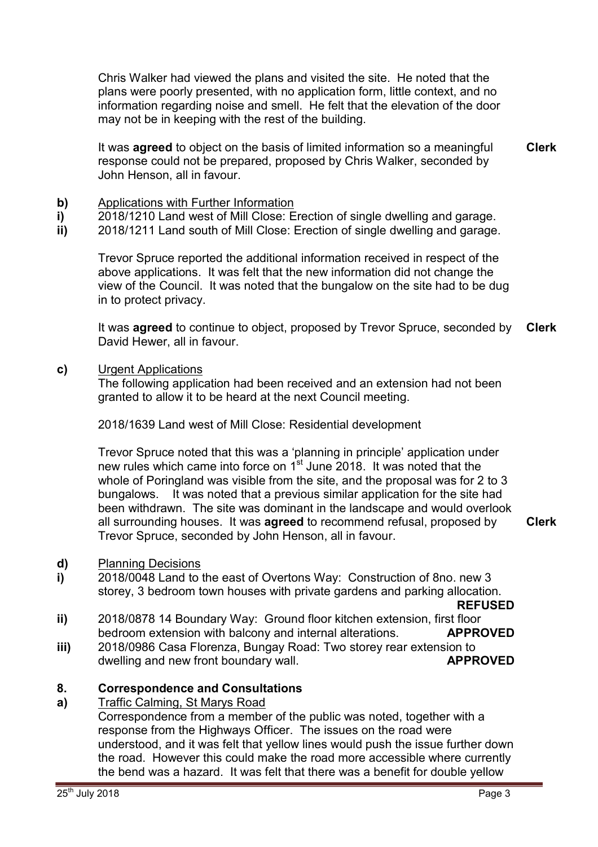Chris Walker had viewed the plans and visited the site. He noted that the plans were poorly presented, with no application form, little context, and no information regarding noise and smell. He felt that the elevation of the door may not be in keeping with the rest of the building.

It was **agreed** to object on the basis of limited information so a meaningful response could not be prepared, proposed by Chris Walker, seconded by John Henson, all in favour. **Clerk**

- **b)** Applications with Further Information
- **i)**  2018/1210 Land west of Mill Close: Erection of single dwelling and garage.
- **ii)**  2018/1211 Land south of Mill Close: Erection of single dwelling and garage.

Trevor Spruce reported the additional information received in respect of the above applications. It was felt that the new information did not change the view of the Council. It was noted that the bungalow on the site had to be dug in to protect privacy.

It was **agreed** to continue to object, proposed by Trevor Spruce, seconded by David Hewer, all in favour. **Clerk**

**c)** Urgent Applications

The following application had been received and an extension had not been granted to allow it to be heard at the next Council meeting.

2018/1639 Land west of Mill Close: Residential development

Trevor Spruce noted that this was a 'planning in principle' application under new rules which came into force on 1<sup>st</sup> June 2018. It was noted that the whole of Poringland was visible from the site, and the proposal was for 2 to 3 bungalows. It was noted that a previous similar application for the site had been withdrawn. The site was dominant in the landscape and would overlook all surrounding houses. It was **agreed** to recommend refusal, proposed by Trevor Spruce, seconded by John Henson, all in favour.

**Clerk**

### **d)** Planning Decisions

**i)**  2018/0048 Land to the east of Overtons Way: Construction of 8no. new 3 storey, 3 bedroom town houses with private gardens and parking allocation.

**REFUSED**

- **ii)**  2018/0878 14 Boundary Way: Ground floor kitchen extension, first floor bedroom extension with balcony and internal alterations. **APPROVED**
- **iii)**  2018/0986 Casa Florenza, Bungay Road: Two storey rear extension to dwelling and new front boundary wall. **APPROVED**

### **8. Correspondence and Consultations**

### **a)**  Traffic Calming, St Marys Road

Correspondence from a member of the public was noted, together with a response from the Highways Officer. The issues on the road were understood, and it was felt that yellow lines would push the issue further down the road. However this could make the road more accessible where currently the bend was a hazard. It was felt that there was a benefit for double yellow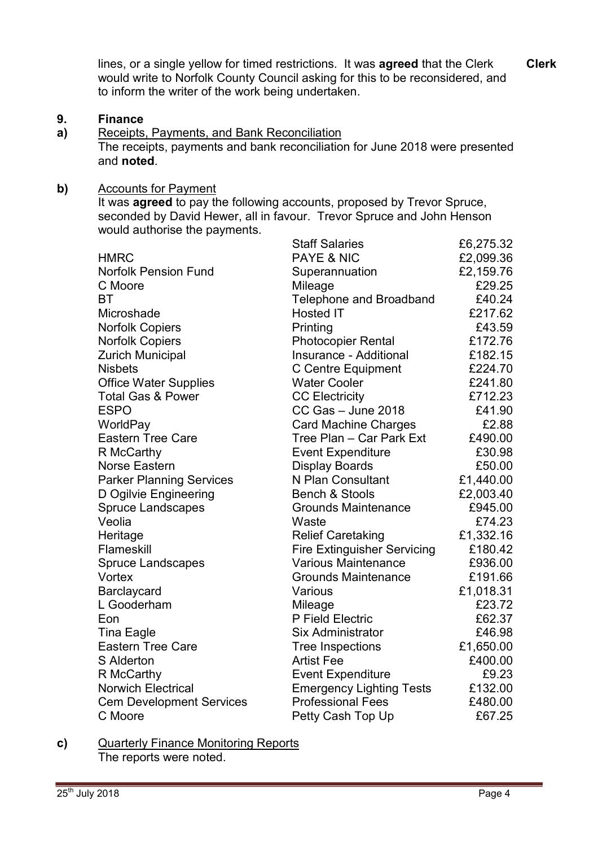lines, or a single yellow for timed restrictions. It was **agreed** that the Clerk would write to Norfolk County Council asking for this to be reconsidered, and to inform the writer of the work being undertaken.

### **9. Finance**

**a)**  Receipts, Payments, and Bank Reconciliation The receipts, payments and bank reconciliation for June 2018 were presented and **noted**.

### **b)** Accounts for Payment

It was **agreed** to pay the following accounts, proposed by Trevor Spruce, seconded by David Hewer, all in favour. Trevor Spruce and John Henson would authorise the payments.

|                                 | <b>Staff Salaries</b>              | £6,275.32 |
|---------------------------------|------------------------------------|-----------|
| <b>HMRC</b>                     | <b>PAYE &amp; NIC</b>              | £2,099.36 |
| <b>Norfolk Pension Fund</b>     | Superannuation                     | £2,159.76 |
| C Moore                         | Mileage                            | £29.25    |
| BT                              | <b>Telephone and Broadband</b>     | £40.24    |
| Microshade                      | <b>Hosted IT</b>                   | £217.62   |
| <b>Norfolk Copiers</b>          | Printing                           | £43.59    |
| <b>Norfolk Copiers</b>          | <b>Photocopier Rental</b>          | £172.76   |
| <b>Zurich Municipal</b>         | Insurance - Additional             | £182.15   |
| <b>Nisbets</b>                  | C Centre Equipment                 | £224.70   |
| <b>Office Water Supplies</b>    | <b>Water Cooler</b>                | £241.80   |
| <b>Total Gas &amp; Power</b>    | <b>CC Electricity</b>              | £712.23   |
| <b>ESPO</b>                     | $CC$ Gas $-$ June 2018             | £41.90    |
| WorldPay                        | <b>Card Machine Charges</b>        | £2.88     |
| <b>Eastern Tree Care</b>        | Tree Plan - Car Park Ext           | £490.00   |
| R McCarthy                      | <b>Event Expenditure</b>           | £30.98    |
| Norse Eastern                   | <b>Display Boards</b>              | £50.00    |
| <b>Parker Planning Services</b> | N Plan Consultant                  | £1,440.00 |
| D Ogilvie Engineering           | <b>Bench &amp; Stools</b>          | £2,003.40 |
| <b>Spruce Landscapes</b>        | <b>Grounds Maintenance</b>         | £945.00   |
| Veolia                          | Waste                              | £74.23    |
| Heritage                        | <b>Relief Caretaking</b>           | £1,332.16 |
| Flameskill                      | <b>Fire Extinguisher Servicing</b> | £180.42   |
| <b>Spruce Landscapes</b>        | <b>Various Maintenance</b>         | £936.00   |
| Vortex                          | <b>Grounds Maintenance</b>         | £191.66   |
| Barclaycard                     | Various                            | £1,018.31 |
| L Gooderham                     | Mileage                            | £23.72    |
| Eon                             | P Field Electric                   | £62.37    |
| <b>Tina Eagle</b>               | Six Administrator                  | £46.98    |
| <b>Eastern Tree Care</b>        | <b>Tree Inspections</b>            | £1,650.00 |
| S Alderton                      | <b>Artist Fee</b>                  | £400.00   |
| R McCarthy                      | <b>Event Expenditure</b>           | £9.23     |
| <b>Norwich Electrical</b>       | <b>Emergency Lighting Tests</b>    | £132.00   |
| <b>Cem Development Services</b> | <b>Professional Fees</b>           | £480.00   |
| C Moore                         | Petty Cash Top Up                  | £67.25    |

### **c)** Quarterly Finance Monitoring Reports The reports were noted.

**Clerk**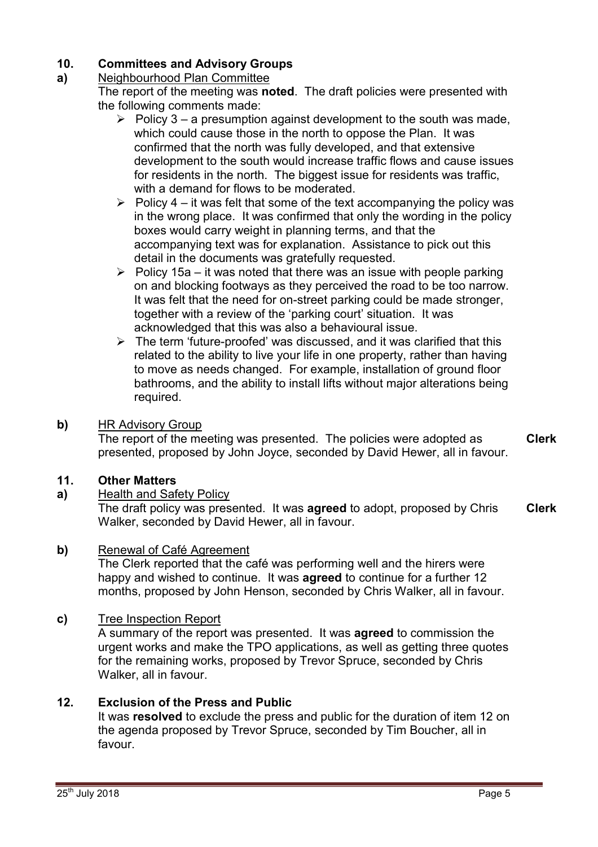### **10. Committees and Advisory Groups**

### **a)**  Neighbourhood Plan Committee

The report of the meeting was **noted**. The draft policies were presented with the following comments made:

- $\triangleright$  Policy 3 a presumption against development to the south was made, which could cause those in the north to oppose the Plan. It was confirmed that the north was fully developed, and that extensive development to the south would increase traffic flows and cause issues for residents in the north. The biggest issue for residents was traffic, with a demand for flows to be moderated.
- $\triangleright$  Policy 4 it was felt that some of the text accompanying the policy was in the wrong place. It was confirmed that only the wording in the policy boxes would carry weight in planning terms, and that the accompanying text was for explanation. Assistance to pick out this detail in the documents was gratefully requested.
- $\triangleright$  Policy 15a it was noted that there was an issue with people parking on and blocking footways as they perceived the road to be too narrow. It was felt that the need for on-street parking could be made stronger, together with a review of the 'parking court' situation. It was acknowledged that this was also a behavioural issue.
- $\triangleright$  The term 'future-proofed' was discussed, and it was clarified that this related to the ability to live your life in one property, rather than having to move as needs changed. For example, installation of ground floor bathrooms, and the ability to install lifts without major alterations being required.

## **b)** HR Advisory Group

The report of the meeting was presented. The policies were adopted as presented, proposed by John Joyce, seconded by David Hewer, all in favour. **Clerk**

# **11. Other Matters**

# **a)** Health and Safety Policy

The draft policy was presented. It was **agreed** to adopt, proposed by Chris Walker, seconded by David Hewer, all in favour. **Clerk**

## **b)** Renewal of Café Agreement

The Clerk reported that the café was performing well and the hirers were happy and wished to continue. It was **agreed** to continue for a further 12 months, proposed by John Henson, seconded by Chris Walker, all in favour.

## **c)** Tree Inspection Report

A summary of the report was presented. It was **agreed** to commission the urgent works and make the TPO applications, as well as getting three quotes for the remaining works, proposed by Trevor Spruce, seconded by Chris Walker, all in favour.

# **12. Exclusion of the Press and Public**

It was **resolved** to exclude the press and public for the duration of item 12 on the agenda proposed by Trevor Spruce, seconded by Tim Boucher, all in favour.